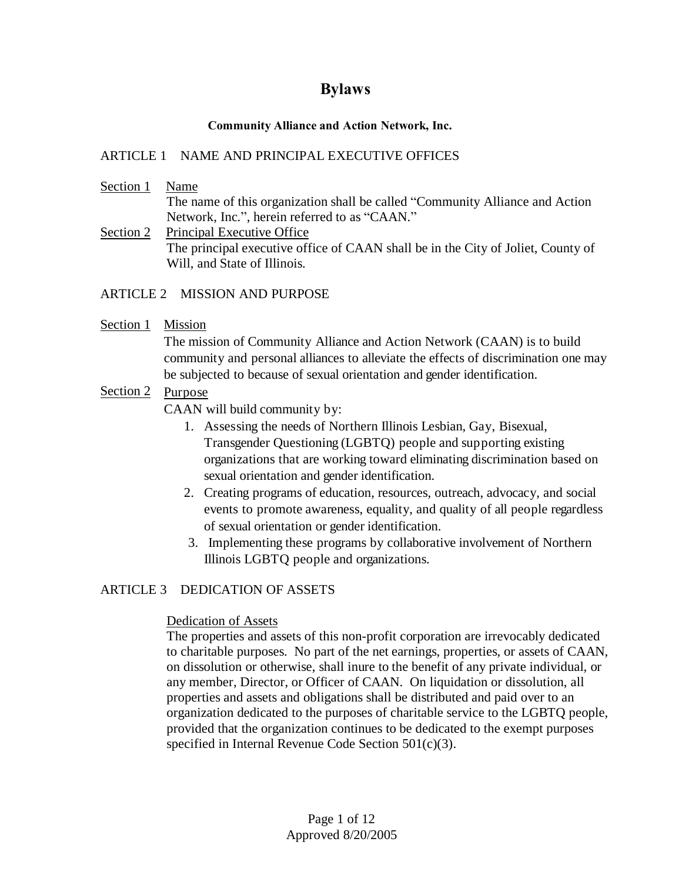# **Bylaws**

### **Community Alliance and Action Network, Inc.**

## ARTICLE 1 NAME AND PRINCIPAL EXECUTIVE OFFICES

Section 1 Name The name of this organization shall be called "Community Alliance and Action Network, Inc.", herein referred to as "CAAN." Section 2 Principal Executive Office The principal executive office of CAAN shall be in the City of Joliet, County of Will, and State of Illinois.

## ARTICLE 2 MISSION AND PURPOSE

Section 1 Mission

The mission of Community Alliance and Action Network (CAAN) is to build community and personal alliances to alleviate the effects of discrimination one may be subjected to because of sexual orientation and gender identification.

## Section 2 Purpose

CAAN will build community by:

- 1. Assessing the needs of Northern Illinois Lesbian, Gay, Bisexual, Transgender Questioning (LGBTQ) people and supporting existing organizations that are working toward eliminating discrimination based on sexual orientation and gender identification.
- 2. Creating programs of education, resources, outreach, advocacy, and social events to promote awareness, equality, and quality of all people regardless of sexual orientation or gender identification.
- 3. Implementing these programs by collaborative involvement of Northern Illinois LGBTQ people and organizations.

## ARTICLE 3 DEDICATION OF ASSETS

### Dedication of Assets

The properties and assets of this non-profit corporation are irrevocably dedicated to charitable purposes. No part of the net earnings, properties, or assets of CAAN, on dissolution or otherwise, shall inure to the benefit of any private individual, or any member, Director, or Officer of CAAN. On liquidation or dissolution, all properties and assets and obligations shall be distributed and paid over to an organization dedicated to the purposes of charitable service to the LGBTQ people, provided that the organization continues to be dedicated to the exempt purposes specified in Internal Revenue Code Section 501(c)(3).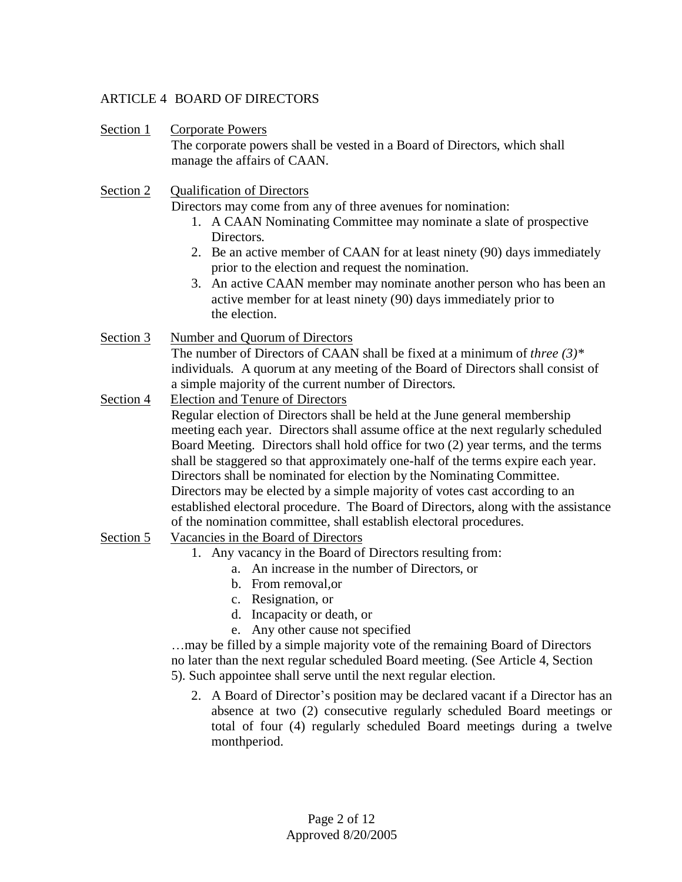## ARTICLE 4 BOARD OF DIRECTORS

#### Section 1 Corporate Powers The corporate powers shall be vested in a Board of Directors, which shall manage the affairs of CAAN.

Section 2 Oualification of Directors

Directors may come from any of three avenues for nomination:

- 1. A CAAN Nominating Committee may nominate a slate of prospective Directors.
- 2. Be an active member of CAAN for at least ninety (90) days immediately prior to the election and request the nomination.
- 3. An active CAAN member may nominate another person who has been an active member for at least ninety (90) days immediately prior to the election.

Section 3 Number and Quorum of Directors

The number of Directors of CAAN shall be fixed at a minimum of *three (3)\** individuals. A quorum at any meeting of the Board of Directors shall consist of a simple majority of the current number of Directors.

Section 4 Election and Tenure of Directors

Regular election of Directors shall be held at the June general membership meeting each year. Directors shall assume office at the next regularly scheduled Board Meeting. Directors shall hold office for two (2) year terms, and the terms shall be staggered so that approximately one-half of the terms expire each year. Directors shall be nominated for election by the Nominating Committee. Directors may be elected by a simple majority of votes cast according to an established electoral procedure. The Board of Directors, along with the assistance of the nomination committee, shall establish electoral procedures.

- Section 5 Vacancies in the Board of Directors
	- 1. Any vacancy in the Board of Directors resulting from:
		- a. An increase in the number of Directors, or
		- b. From removal,or
		- c. Resignation, or
		- d. Incapacity or death, or
		- e. Any other cause not specified

…may be filled by a simple majority vote of the remaining Board of Directors no later than the next regular scheduled Board meeting. (See Article 4, Section 5). Such appointee shall serve until the next regular election.

2. A Board of Director's position may be declared vacant if a Director has an absence at two (2) consecutive regularly scheduled Board meetings or total of four (4) regularly scheduled Board meetings during a twelve monthperiod.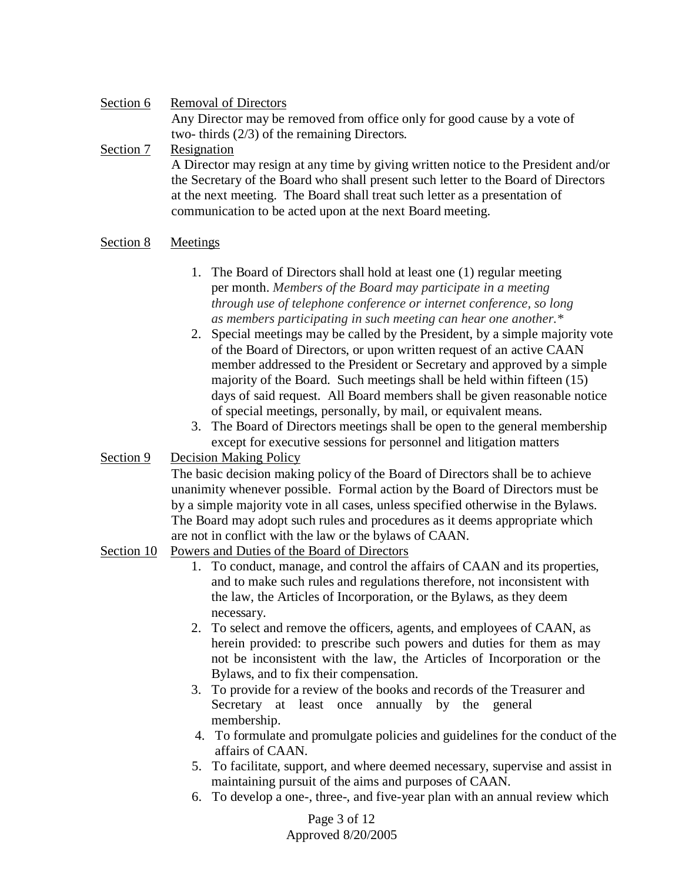# Section 6 Removal of Directors Any Director may be removed from office only for good cause by a vote of two- thirds (2/3) of the remaining Directors.

### Section 7 Resignation

A Director may resign at any time by giving written notice to the President and/or the Secretary of the Board who shall present such letter to the Board of Directors at the next meeting. The Board shall treat such letter as a presentation of communication to be acted upon at the next Board meeting.

## Section 8 Meetings

- 1. The Board of Directors shall hold at least one (1) regular meeting per month. *Members of the Board may participate in a meeting through use of telephone conference or internet conference, so long as members participating in such meeting can hear one another.\**
- 2. Special meetings may be called by the President, by a simple majority vote of the Board of Directors, or upon written request of an active CAAN member addressed to the President or Secretary and approved by a simple majority of the Board. Such meetings shall be held within fifteen (15) days of said request. All Board members shall be given reasonable notice of special meetings, personally, by mail, or equivalent means.
- 3. The Board of Directors meetings shall be open to the general membership except for executive sessions for personnel and litigation matters

# Section 9 Decision Making Policy

The basic decision making policy of the Board of Directors shall be to achieve unanimity whenever possible. Formal action by the Board of Directors must be by a simple majority vote in all cases, unless specified otherwise in the Bylaws. The Board may adopt such rules and procedures as it deems appropriate which are not in conflict with the law or the bylaws of CAAN.

### Section 10 Powers and Duties of the Board of Directors

- 1. To conduct, manage, and control the affairs of CAAN and its properties, and to make such rules and regulations therefore, not inconsistent with the law, the Articles of Incorporation, or the Bylaws, as they deem necessary.
- 2. To select and remove the officers, agents, and employees of CAAN, as herein provided: to prescribe such powers and duties for them as may not be inconsistent with the law, the Articles of Incorporation or the Bylaws, and to fix their compensation.
- 3. To provide for a review of the books and records of the Treasurer and Secretary at least once annually by the general membership.
- 4. To formulate and promulgate policies and guidelines for the conduct of the affairs of CAAN.
- 5. To facilitate, support, and where deemed necessary, supervise and assist in maintaining pursuit of the aims and purposes of CAAN.
- 6. To develop a one-, three-, and five-year plan with an annual review which

Page 3 of 12 Approved 8/20/2005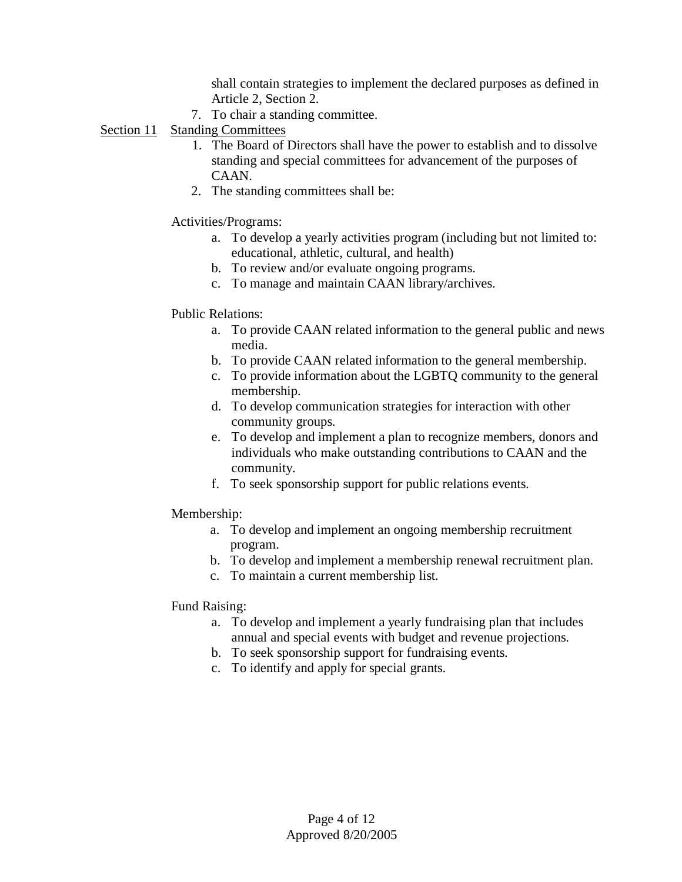shall contain strategies to implement the declared purposes as defined in Article 2, Section 2.

7. To chair a standing committee.

#### Section 11 Standing Committees

- 1. The Board of Directors shall have the power to establish and to dissolve standing and special committees for advancement of the purposes of CAAN.
- 2. The standing committees shall be:

#### Activities/Programs:

- a. To develop a yearly activities program (including but not limited to: educational, athletic, cultural, and health)
- b. To review and/or evaluate ongoing programs.
- c. To manage and maintain CAAN library/archives.

#### Public Relations:

- a. To provide CAAN related information to the general public and news media.
- b. To provide CAAN related information to the general membership.
- c. To provide information about the LGBTQ community to the general membership.
- d. To develop communication strategies for interaction with other community groups.
- e. To develop and implement a plan to recognize members, donors and individuals who make outstanding contributions to CAAN and the community.
- f. To seek sponsorship support for public relations events.

### Membership:

- a. To develop and implement an ongoing membership recruitment program.
- b. To develop and implement a membership renewal recruitment plan.
- c. To maintain a current membership list.

#### Fund Raising:

- a. To develop and implement a yearly fundraising plan that includes annual and special events with budget and revenue projections.
- b. To seek sponsorship support for fundraising events.
- c. To identify and apply for special grants.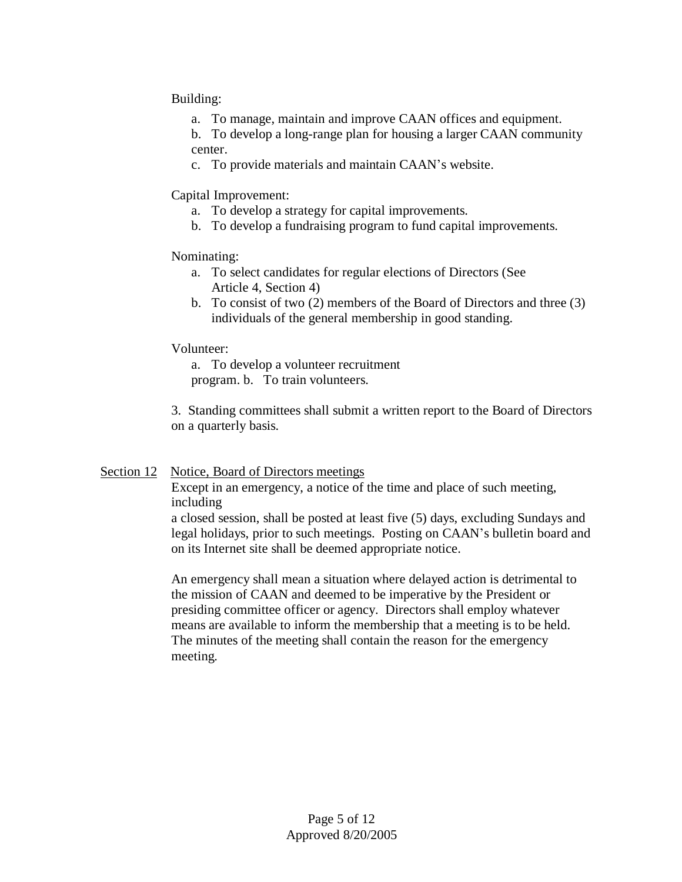#### Building:

- a. To manage, maintain and improve CAAN offices and equipment.
- b. To develop a long-range plan for housing a larger CAAN community center.
- c. To provide materials and maintain CAAN's website.

### Capital Improvement:

- a. To develop a strategy for capital improvements.
- b. To develop a fundraising program to fund capital improvements.

#### Nominating:

- a. To select candidates for regular elections of Directors (See Article 4, Section 4)
- b. To consist of two (2) members of the Board of Directors and three (3) individuals of the general membership in good standing.

#### Volunteer:

a. To develop a volunteer recruitment program. b. To train volunteers.

3. Standing committees shall submit a written report to the Board of Directors on a quarterly basis.

### Section 12 Notice, Board of Directors meetings

Except in an emergency, a notice of the time and place of such meeting, including

a closed session, shall be posted at least five (5) days, excluding Sundays and legal holidays, prior to such meetings. Posting on CAAN's bulletin board and on its Internet site shall be deemed appropriate notice.

An emergency shall mean a situation where delayed action is detrimental to the mission of CAAN and deemed to be imperative by the President or presiding committee officer or agency. Directors shall employ whatever means are available to inform the membership that a meeting is to be held. The minutes of the meeting shall contain the reason for the emergency meeting.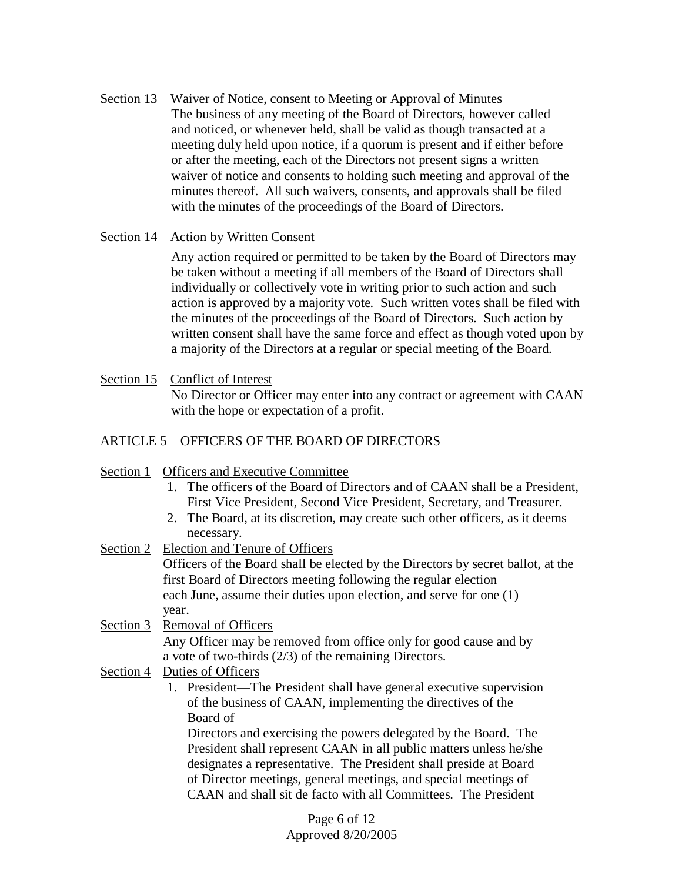Section 13 Waiver of Notice, consent to Meeting or Approval of Minutes The business of any meeting of the Board of Directors, however called and noticed, or whenever held, shall be valid as though transacted at a meeting duly held upon notice, if a quorum is present and if either before or after the meeting, each of the Directors not present signs a written waiver of notice and consents to holding such meeting and approval of the minutes thereof. All such waivers, consents, and approvals shall be filed with the minutes of the proceedings of the Board of Directors.

#### Section 14 Action by Written Consent

Any action required or permitted to be taken by the Board of Directors may be taken without a meeting if all members of the Board of Directors shall individually or collectively vote in writing prior to such action and such action is approved by a majority vote. Such written votes shall be filed with the minutes of the proceedings of the Board of Directors. Such action by written consent shall have the same force and effect as though voted upon by a majority of the Directors at a regular or special meeting of the Board.

#### Section 15 Conflict of Interest

No Director or Officer may enter into any contract or agreement with CAAN with the hope or expectation of a profit.

### ARTICLE 5 OFFICERS OF THE BOARD OF DIRECTORS

#### Section 1 Officers and Executive Committee

- 1. The officers of the Board of Directors and of CAAN shall be a President, First Vice President, Second Vice President, Secretary, and Treasurer.
- 2. The Board, at its discretion, may create such other officers, as it deems necessary.

### Section 2 Election and Tenure of Officers

Officers of the Board shall be elected by the Directors by secret ballot, at the first Board of Directors meeting following the regular election each June, assume their duties upon election, and serve for one (1) year.

### Section 3 Removal of Officers

Any Officer may be removed from office only for good cause and by a vote of two-thirds (2/3) of the remaining Directors.

#### Section 4 Duties of Officers

1. President—The President shall have general executive supervision of the business of CAAN, implementing the directives of the Board of

Directors and exercising the powers delegated by the Board. The President shall represent CAAN in all public matters unless he/she designates a representative. The President shall preside at Board of Director meetings, general meetings, and special meetings of CAAN and shall sit de facto with all Committees. The President

> Page 6 of 12 Approved 8/20/2005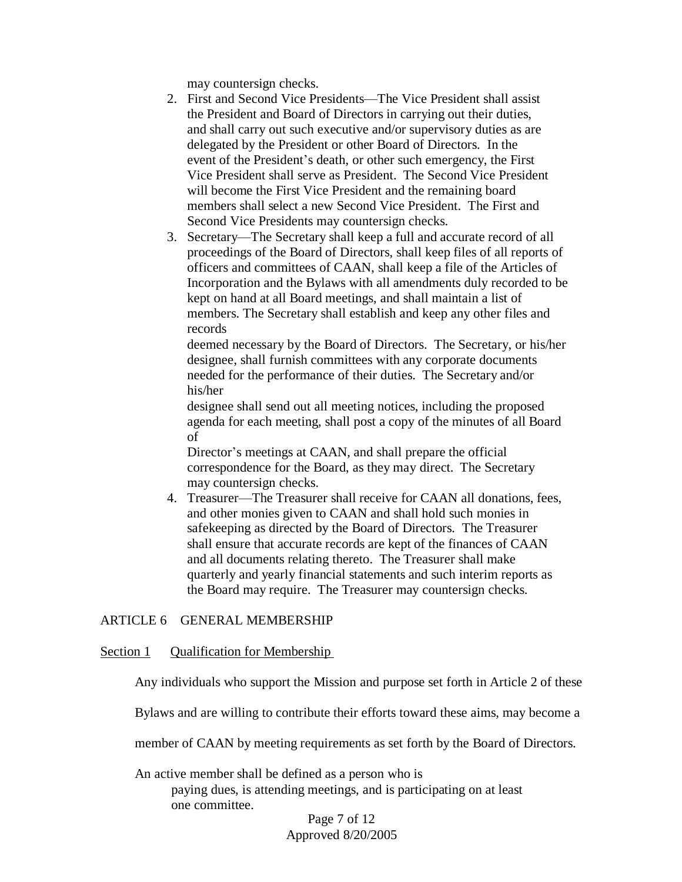may countersign checks.

- 2. First and Second Vice Presidents—The Vice President shall assist the President and Board of Directors in carrying out their duties, and shall carry out such executive and/or supervisory duties as are delegated by the President or other Board of Directors. In the event of the President's death, or other such emergency, the First Vice President shall serve as President. The Second Vice President will become the First Vice President and the remaining board members shall select a new Second Vice President. The First and Second Vice Presidents may countersign checks.
- 3. Secretary—The Secretary shall keep a full and accurate record of all proceedings of the Board of Directors, shall keep files of all reports of officers and committees of CAAN, shall keep a file of the Articles of Incorporation and the Bylaws with all amendments duly recorded to be kept on hand at all Board meetings, and shall maintain a list of members. The Secretary shall establish and keep any other files and records

deemed necessary by the Board of Directors. The Secretary, or his/her designee, shall furnish committees with any corporate documents needed for the performance of their duties. The Secretary and/or his/her

designee shall send out all meeting notices, including the proposed agenda for each meeting, shall post a copy of the minutes of all Board of

Director's meetings at CAAN, and shall prepare the official correspondence for the Board, as they may direct. The Secretary may countersign checks.

4. Treasurer—The Treasurer shall receive for CAAN all donations, fees, and other monies given to CAAN and shall hold such monies in safekeeping as directed by the Board of Directors. The Treasurer shall ensure that accurate records are kept of the finances of CAAN and all documents relating thereto. The Treasurer shall make quarterly and yearly financial statements and such interim reports as the Board may require. The Treasurer may countersign checks.

#### ARTICLE 6 GENERAL MEMBERSHIP

#### Section 1 Qualification for Membership

Any individuals who support the Mission and purpose set forth in Article 2 of these

Bylaws and are willing to contribute their efforts toward these aims, may become a

member of CAAN by meeting requirements as set forth by the Board of Directors.

An active member shall be defined as a person who is paying dues, is attending meetings, and is participating on at least one committee.

Page 7 of 12 Approved 8/20/2005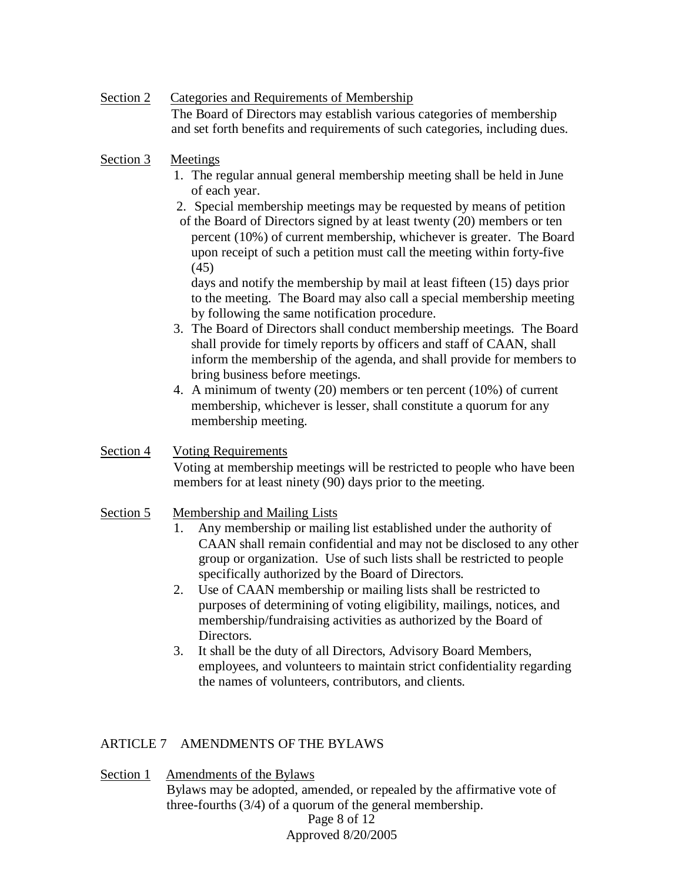Section 2 Categories and Requirements of Membership The Board of Directors may establish various categories of membership and set forth benefits and requirements of such categories, including dues.

#### Section 3 Meetings

- 1. The regular annual general membership meeting shall be held in June of each year.
- 2. Special membership meetings may be requested by means of petition

of the Board of Directors signed by at least twenty (20) members or ten percent (10%) of current membership, whichever is greater. The Board upon receipt of such a petition must call the meeting within forty-five (45)

days and notify the membership by mail at least fifteen (15) days prior to the meeting. The Board may also call a special membership meeting by following the same notification procedure.

- 3. The Board of Directors shall conduct membership meetings. The Board shall provide for timely reports by officers and staff of CAAN, shall inform the membership of the agenda, and shall provide for members to bring business before meetings.
- 4. A minimum of twenty (20) members or ten percent (10%) of current membership, whichever is lesser, shall constitute a quorum for any membership meeting.

#### Section 4 Voting Requirements

Voting at membership meetings will be restricted to people who have been members for at least ninety (90) days prior to the meeting.

#### Section 5 Membership and Mailing Lists

- 1. Any membership or mailing list established under the authority of CAAN shall remain confidential and may not be disclosed to any other group or organization. Use of such lists shall be restricted to people specifically authorized by the Board of Directors.
- 2. Use of CAAN membership or mailing lists shall be restricted to purposes of determining of voting eligibility, mailings, notices, and membership/fundraising activities as authorized by the Board of Directors.
- 3. It shall be the duty of all Directors, Advisory Board Members, employees, and volunteers to maintain strict confidentiality regarding the names of volunteers, contributors, and clients.

#### ARTICLE 7 AMENDMENTS OF THE BYLAWS

Page 8 of 12 Approved 8/20/2005 Section 1 Amendments of the Bylaws Bylaws may be adopted, amended, or repealed by the affirmative vote of three-fourths (3/4) of a quorum of the general membership.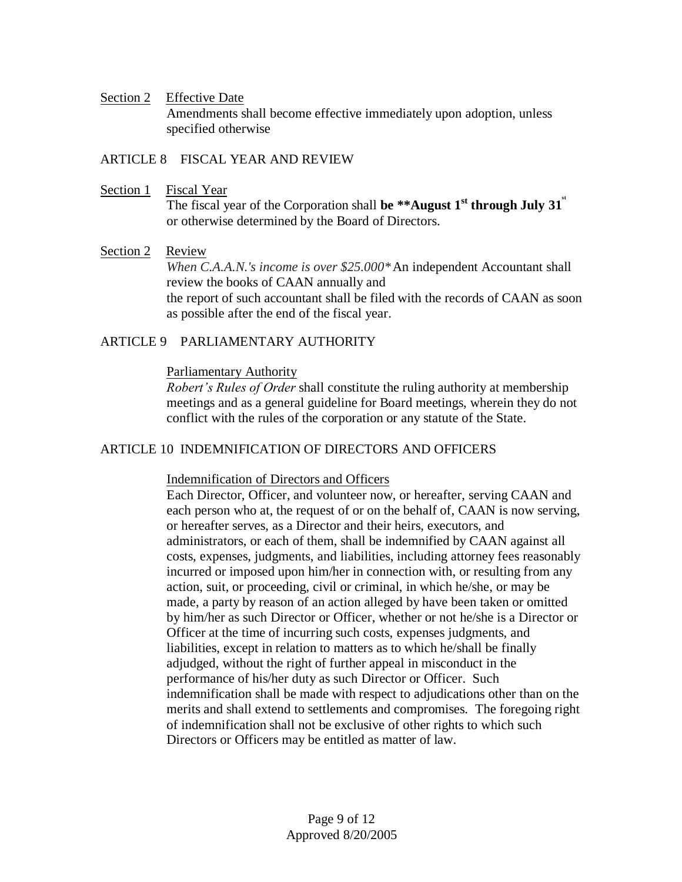Section 2 Effective Date

Amendments shall become effective immediately upon adoption, unless specified otherwise

## ARTICLE 8 FISCAL YEAR AND REVIEW

Section 1 Fiscal Year

The fiscal year of the Corporation shall **be \*\*August 1 st through July 31 st** or otherwise determined by the Board of Directors.

## Section 2 Review

*When C.A.A.N.'s income is over \$25.000\**An independent Accountant shall review the books of CAAN annually and the report of such accountant shall be filed with the records of CAAN as soon as possible after the end of the fiscal year.

## ARTICLE 9 PARLIAMENTARY AUTHORITY

### Parliamentary Authority

*Robert's Rules of Order* shall constitute the ruling authority at membership meetings and as a general guideline for Board meetings, wherein they do not conflict with the rules of the corporation or any statute of the State.

### ARTICLE 10 INDEMNIFICATION OF DIRECTORS AND OFFICERS

### Indemnification of Directors and Officers

Each Director, Officer, and volunteer now, or hereafter, serving CAAN and each person who at, the request of or on the behalf of, CAAN is now serving, or hereafter serves, as a Director and their heirs, executors, and administrators, or each of them, shall be indemnified by CAAN against all costs, expenses, judgments, and liabilities, including attorney fees reasonably incurred or imposed upon him/her in connection with, or resulting from any action, suit, or proceeding, civil or criminal, in which he/she, or may be made, a party by reason of an action alleged by have been taken or omitted by him/her as such Director or Officer, whether or not he/she is a Director or Officer at the time of incurring such costs, expenses judgments, and liabilities, except in relation to matters as to which he/shall be finally adjudged, without the right of further appeal in misconduct in the performance of his/her duty as such Director or Officer. Such indemnification shall be made with respect to adjudications other than on the merits and shall extend to settlements and compromises. The foregoing right of indemnification shall not be exclusive of other rights to which such Directors or Officers may be entitled as matter of law.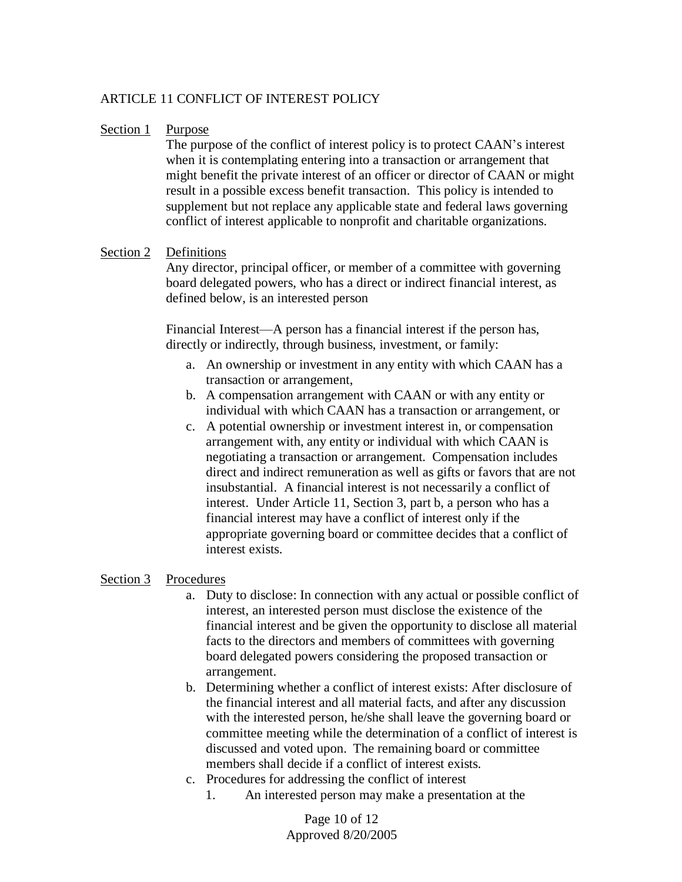### ARTICLE 11 CONFLICT OF INTEREST POLICY

#### Section 1 Purpose

The purpose of the conflict of interest policy is to protect CAAN's interest when it is contemplating entering into a transaction or arrangement that might benefit the private interest of an officer or director of CAAN or might result in a possible excess benefit transaction. This policy is intended to supplement but not replace any applicable state and federal laws governing conflict of interest applicable to nonprofit and charitable organizations.

#### Section 2 Definitions

Any director, principal officer, or member of a committee with governing board delegated powers, who has a direct or indirect financial interest, as defined below, is an interested person

Financial Interest—A person has a financial interest if the person has, directly or indirectly, through business, investment, or family:

- a. An ownership or investment in any entity with which CAAN has a transaction or arrangement,
- b. A compensation arrangement with CAAN or with any entity or individual with which CAAN has a transaction or arrangement, or
- c. A potential ownership or investment interest in, or compensation arrangement with, any entity or individual with which CAAN is negotiating a transaction or arrangement. Compensation includes direct and indirect remuneration as well as gifts or favors that are not insubstantial. A financial interest is not necessarily a conflict of interest. Under Article 11, Section 3, part b, a person who has a financial interest may have a conflict of interest only if the appropriate governing board or committee decides that a conflict of interest exists.

#### Section 3 Procedures

- a. Duty to disclose: In connection with any actual or possible conflict of interest, an interested person must disclose the existence of the financial interest and be given the opportunity to disclose all material facts to the directors and members of committees with governing board delegated powers considering the proposed transaction or arrangement.
- b. Determining whether a conflict of interest exists: After disclosure of the financial interest and all material facts, and after any discussion with the interested person, he/she shall leave the governing board or committee meeting while the determination of a conflict of interest is discussed and voted upon. The remaining board or committee members shall decide if a conflict of interest exists.
- c. Procedures for addressing the conflict of interest
	- 1. An interested person may make a presentation at the

Page 10 of 12 Approved 8/20/2005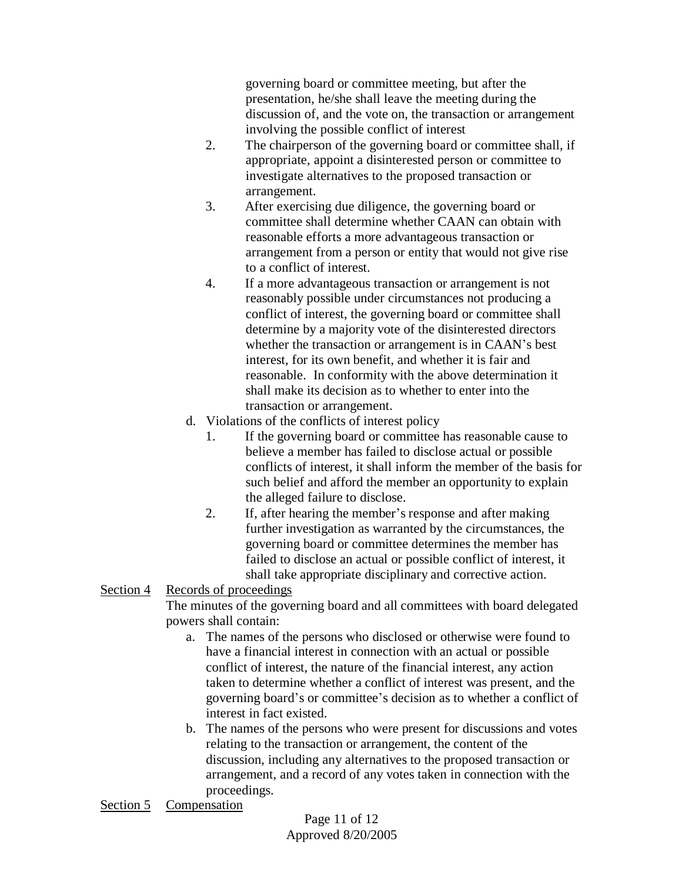governing board or committee meeting, but after the presentation, he/she shall leave the meeting during the discussion of, and the vote on, the transaction or arrangement involving the possible conflict of interest

- 2. The chairperson of the governing board or committee shall, if appropriate, appoint a disinterested person or committee to investigate alternatives to the proposed transaction or arrangement.
- 3. After exercising due diligence, the governing board or committee shall determine whether CAAN can obtain with reasonable efforts a more advantageous transaction or arrangement from a person or entity that would not give rise to a conflict of interest.
- 4. If a more advantageous transaction or arrangement is not reasonably possible under circumstances not producing a conflict of interest, the governing board or committee shall determine by a majority vote of the disinterested directors whether the transaction or arrangement is in CAAN's best interest, for its own benefit, and whether it is fair and reasonable. In conformity with the above determination it shall make its decision as to whether to enter into the transaction or arrangement.
- d. Violations of the conflicts of interest policy
	- 1. If the governing board or committee has reasonable cause to believe a member has failed to disclose actual or possible conflicts of interest, it shall inform the member of the basis for such belief and afford the member an opportunity to explain the alleged failure to disclose.
	- 2. If, after hearing the member's response and after making further investigation as warranted by the circumstances, the governing board or committee determines the member has failed to disclose an actual or possible conflict of interest, it shall take appropriate disciplinary and corrective action.

### Section 4 Records of proceedings

The minutes of the governing board and all committees with board delegated powers shall contain:

- a. The names of the persons who disclosed or otherwise were found to have a financial interest in connection with an actual or possible conflict of interest, the nature of the financial interest, any action taken to determine whether a conflict of interest was present, and the governing board's or committee's decision as to whether a conflict of interest in fact existed.
- b. The names of the persons who were present for discussions and votes relating to the transaction or arrangement, the content of the discussion, including any alternatives to the proposed transaction or arrangement, and a record of any votes taken in connection with the proceedings.
- Section 5 Compensation